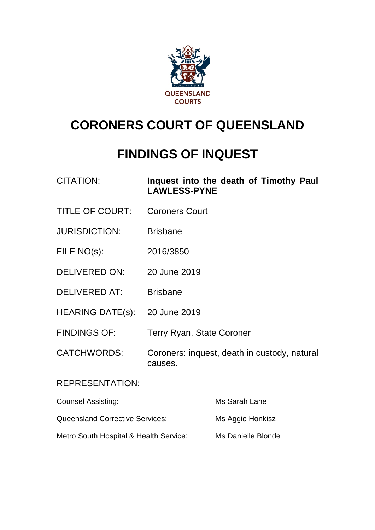

# **CORONERS COURT OF QUEENSLAND**

## **FINDINGS OF INQUEST**

| <b>CITATION:</b> | Inquest into the death of Timothy Paul |  |  |  |
|------------------|----------------------------------------|--|--|--|
|                  | <b>LAWLESS-PYNE</b>                    |  |  |  |

- TITLE OF COURT: Coroners Court
- JURISDICTION: Brisbane
- FILE NO(s): 2016/3850
- DELIVERED ON: 20 June 2019
- DELIVERED AT: Brisbane
- HEARING DATE(s): 20 June 2019
- FINDINGS OF: Terry Ryan, State Coroner
- CATCHWORDS: Coroners: inquest, death in custody, natural causes.

#### REPRESENTATION:

| <b>Counsel Assisting:</b>              | Ms Sarah Lane      |
|----------------------------------------|--------------------|
| <b>Queensland Corrective Services:</b> | Ms Aggie Honkisz   |
| Metro South Hospital & Health Service: | Ms Danielle Blonde |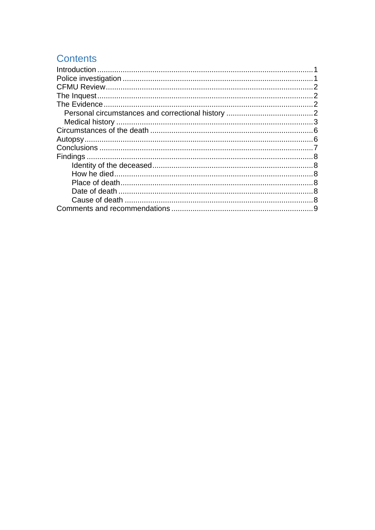## **Contents**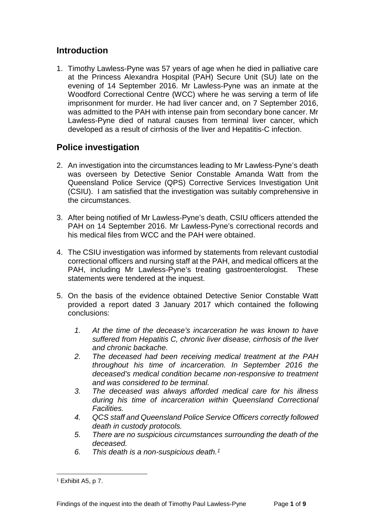### <span id="page-2-0"></span>**Introduction**

1. Timothy Lawless-Pyne was 57 years of age when he died in palliative care at the Princess Alexandra Hospital (PAH) Secure Unit (SU) late on the evening of 14 September 2016. Mr Lawless-Pyne was an inmate at the Woodford Correctional Centre (WCC) where he was serving a term of life imprisonment for murder. He had liver cancer and, on 7 September 2016, was admitted to the PAH with intense pain from secondary bone cancer. Mr Lawless-Pyne died of natural causes from terminal liver cancer, which developed as a result of cirrhosis of the liver and Hepatitis-C infection.

## <span id="page-2-1"></span>**Police investigation**

- 2. An investigation into the circumstances leading to Mr Lawless-Pyne's death was overseen by Detective Senior Constable Amanda Watt from the Queensland Police Service (QPS) Corrective Services Investigation Unit (CSIU). I am satisfied that the investigation was suitably comprehensive in the circumstances.
- 3. After being notified of Mr Lawless-Pyne's death, CSIU officers attended the PAH on 14 September 2016. Mr Lawless-Pyne's correctional records and his medical files from WCC and the PAH were obtained.
- 4. The CSIU investigation was informed by statements from relevant custodial correctional officers and nursing staff at the PAH, and medical officers at the PAH, including Mr Lawless-Pyne's treating gastroenterologist. These statements were tendered at the inquest.
- 5. On the basis of the evidence obtained Detective Senior Constable Watt provided a report dated 3 January 2017 which contained the following conclusions:
	- *1. At the time of the decease's incarceration he was known to have suffered from Hepatitis C, chronic liver disease, cirrhosis of the liver and chronic backache.*
	- *2. The deceased had been receiving medical treatment at the PAH throughout his time of incarceration. In September 2016 the deceased's medical condition became non-responsive to treatment and was considered to be terminal.*
	- *3. The deceased was always afforded medical care for his illness during his time of incarceration within Queensland Correctional Facilities.*
	- *4. QCS staff and Queensland Police Service Officers correctly followed death in custody protocols.*
	- *5. There are no suspicious circumstances surrounding the death of the deceased.*
	- *6. This death is a non-suspicious death.[1](#page-2-2)*

<span id="page-2-2"></span><sup>1</sup> Exhibit A5, p 7.  $\overline{a}$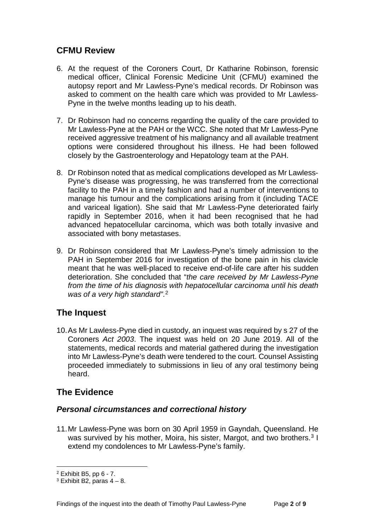## <span id="page-3-0"></span>**CFMU Review**

- 6. At the request of the Coroners Court, Dr Katharine Robinson, forensic medical officer, Clinical Forensic Medicine Unit (CFMU) examined the autopsy report and Mr Lawless-Pyne's medical records. Dr Robinson was asked to comment on the health care which was provided to Mr Lawless-Pyne in the twelve months leading up to his death.
- 7. Dr Robinson had no concerns regarding the quality of the care provided to Mr Lawless-Pyne at the PAH or the WCC. She noted that Mr Lawless-Pyne received aggressive treatment of his malignancy and all available treatment options were considered throughout his illness. He had been followed closely by the Gastroenterology and Hepatology team at the PAH.
- 8. Dr Robinson noted that as medical complications developed as Mr Lawless-Pyne's disease was progressing, he was transferred from the correctional facility to the PAH in a timely fashion and had a number of interventions to manage his tumour and the complications arising from it (including TACE and variceal ligation). She said that Mr Lawless-Pyne deteriorated fairly rapidly in September 2016, when it had been recognised that he had advanced hepatocellular carcinoma, which was both totally invasive and associated with bony metastases.
- 9. Dr Robinson considered that Mr Lawless-Pyne's timely admission to the PAH in September 2016 for investigation of the bone pain in his clavicle meant that he was well-placed to receive end-of-life care after his sudden deterioration. She concluded that "*the care received by Mr Lawless-Pyne from the time of his diagnosis with hepatocellular carcinoma until his death was of a very high standard"*. [2](#page-3-4)

## <span id="page-3-1"></span>**The Inquest**

10.As Mr Lawless-Pyne died in custody, an inquest was required by s 27 of the Coroners *Act 2003*. The inquest was held on 20 June 2019. All of the statements, medical records and material gathered during the investigation into Mr Lawless-Pyne's death were tendered to the court. Counsel Assisting proceeded immediately to submissions in lieu of any oral testimony being heard.

## <span id="page-3-2"></span>**The Evidence**

#### <span id="page-3-3"></span>*Personal circumstances and correctional history*

11.Mr Lawless-Pyne was born on 30 April 1959 in Gayndah, Queensland. He was survived by his mother, Moira, his sister, Margot, and two brothers.<sup>[3](#page-3-5)</sup> I extend my condolences to Mr Lawless-Pyne's family.

<span id="page-3-4"></span><sup>2</sup> Exhibit B5, pp 6 - 7.

<span id="page-3-5"></span> $3$  Exhibit B2, paras  $4 - 8$ .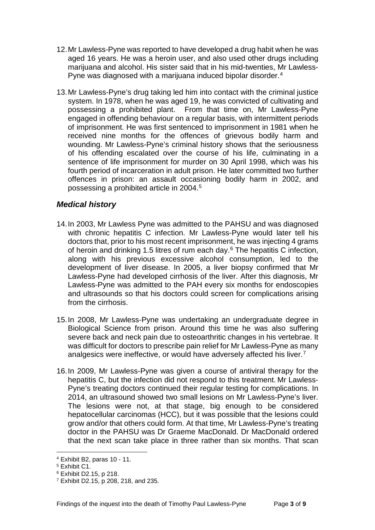- 12.Mr Lawless-Pyne was reported to have developed a drug habit when he was aged 16 years. He was a heroin user, and also used other drugs including marijuana and alcohol. His sister said that in his mid-twenties, Mr Lawless-Pyne was diagnosed with a marijuana induced bipolar disorder.<sup>[4](#page-4-1)</sup>
- 13.Mr Lawless-Pyne's drug taking led him into contact with the criminal justice system. In 1978, when he was aged 19, he was convicted of cultivating and possessing a prohibited plant. From that time on, Mr Lawless-Pyne engaged in offending behaviour on a regular basis, with intermittent periods of imprisonment. He was first sentenced to imprisonment in 1981 when he received nine months for the offences of grievous bodily harm and wounding. Mr Lawless-Pyne's criminal history shows that the seriousness of his offending escalated over the course of his life, culminating in a sentence of life imprisonment for murder on 30 April 1998, which was his fourth period of incarceration in adult prison. He later committed two further offences in prison: an assault occasioning bodily harm in 2002, and possessing a prohibited article in 2004.[5](#page-4-2)

#### <span id="page-4-0"></span>*Medical history*

- 14.In 2003, Mr Lawless Pyne was admitted to the PAHSU and was diagnosed with chronic hepatitis C infection. Mr Lawless-Pyne would later tell his doctors that, prior to his most recent imprisonment, he was injecting 4 grams of heroin and drinking 1.5 litres of rum each day.[6](#page-4-3) The hepatitis C infection, along with his previous excessive alcohol consumption, led to the development of liver disease. In 2005, a liver biopsy confirmed that Mr Lawless-Pyne had developed cirrhosis of the liver. After this diagnosis, Mr Lawless-Pyne was admitted to the PAH every six months for endoscopies and ultrasounds so that his doctors could screen for complications arising from the cirrhosis.
- 15.In 2008, Mr Lawless-Pyne was undertaking an undergraduate degree in Biological Science from prison. Around this time he was also suffering severe back and neck pain due to osteoarthritic changes in his vertebrae. It was difficult for doctors to prescribe pain relief for Mr Lawless-Pyne as many analgesics were ineffective, or would have adversely affected his liver.[7](#page-4-4)
- 16.In 2009, Mr Lawless-Pyne was given a course of antiviral therapy for the hepatitis C, but the infection did not respond to this treatment. Mr Lawless-Pyne's treating doctors continued their regular testing for complications. In 2014, an ultrasound showed two small lesions on Mr Lawless-Pyne's liver. The lesions were not, at that stage, big enough to be considered hepatocellular carcinomas (HCC), but it was possible that the lesions could grow and/or that others could form. At that time, Mr Lawless-Pyne's treating doctor in the PAHSU was Dr Graeme MacDonald. Dr MacDonald ordered that the next scan take place in three rather than six months. That scan

<sup>4</sup> Exhibit B2, paras 10 - 11.  $\overline{a}$ 

<span id="page-4-2"></span><span id="page-4-1"></span><sup>5</sup> Exhibit C1.

<span id="page-4-3"></span><sup>6</sup> Exhibit D2.15, p 218.

<span id="page-4-4"></span><sup>7</sup> Exhibit D2.15, p 208, 218, and 235.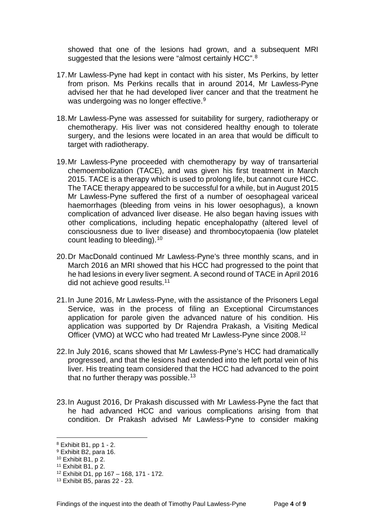showed that one of the lesions had grown, and a subsequent MRI suggested that the lesions were "almost certainly HCC".<sup>[8](#page-5-0)</sup>

- 17.Mr Lawless-Pyne had kept in contact with his sister, Ms Perkins, by letter from prison. Ms Perkins recalls that in around 2014, Mr Lawless-Pyne advised her that he had developed liver cancer and that the treatment he was undergoing was no longer effective.<sup>[9](#page-5-1)</sup>
- 18.Mr Lawless-Pyne was assessed for suitability for surgery, radiotherapy or chemotherapy. His liver was not considered healthy enough to tolerate surgery, and the lesions were located in an area that would be difficult to target with radiotherapy.
- 19.Mr Lawless-Pyne proceeded with chemotherapy by way of transarterial chemoembolization (TACE), and was given his first treatment in March 2015. TACE is a therapy which is used to prolong life, but cannot cure HCC. The TACE therapy appeared to be successful for a while, but in August 2015 Mr Lawless-Pyne suffered the first of a number of oesophageal variceal haemorrhages (bleeding from veins in his lower oesophagus), a known complication of advanced liver disease. He also began having issues with other complications, including hepatic encephalopathy (altered level of consciousness due to liver disease) and thrombocytopaenia (low platelet count leading to bleeding).[10](#page-5-2)
- 20.Dr MacDonald continued Mr Lawless-Pyne's three monthly scans, and in March 2016 an MRI showed that his HCC had progressed to the point that he had lesions in every liver segment. A second round of TACE in April 2016 did not achieve good results.<sup>[11](#page-5-3)</sup>
- 21.In June 2016, Mr Lawless-Pyne, with the assistance of the Prisoners Legal Service, was in the process of filing an Exceptional Circumstances application for parole given the advanced nature of his condition. His application was supported by Dr Rajendra Prakash, a Visiting Medical Officer (VMO) at WCC who had treated Mr Lawless-Pyne since 2008.[12](#page-5-4)
- 22.In July 2016, scans showed that Mr Lawless-Pyne's HCC had dramatically progressed, and that the lesions had extended into the left portal vein of his liver. His treating team considered that the HCC had advanced to the point that no further therapy was possible.<sup>[13](#page-5-5)</sup>
- 23.In August 2016, Dr Prakash discussed with Mr Lawless-Pyne the fact that he had advanced HCC and various complications arising from that condition. Dr Prakash advised Mr Lawless-Pyne to consider making

<sup>8</sup> Exhibit B1, pp 1 - 2.  $\overline{a}$ 

<span id="page-5-1"></span><span id="page-5-0"></span><sup>9</sup> Exhibit B2, para 16.

<span id="page-5-2"></span> $10$  Exhibit B1, p 2.

<span id="page-5-3"></span><sup>11</sup> Exhibit B1, p 2.

<span id="page-5-4"></span><sup>12</sup> Exhibit D1, pp 167 – 168, 171 - 172.

<span id="page-5-5"></span><sup>13</sup> Exhibit B5, paras 22 - 23.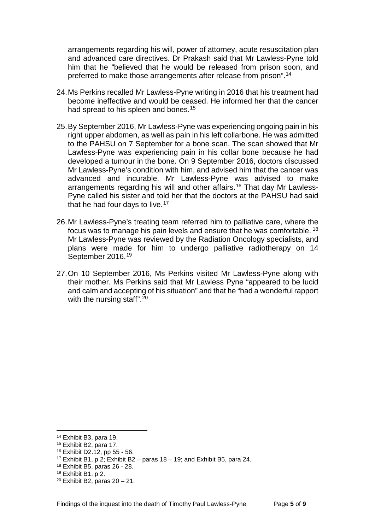arrangements regarding his will, power of attorney, acute resuscitation plan and advanced care directives. Dr Prakash said that Mr Lawless-Pyne told him that he "believed that he would be released from prison soon, and preferred to make those arrangements after release from prison".[14](#page-6-0)

- 24.Ms Perkins recalled Mr Lawless-Pyne writing in 2016 that his treatment had become ineffective and would be ceased. He informed her that the cancer had spread to his spleen and bones.<sup>[15](#page-6-1)</sup>
- 25.By September 2016, Mr Lawless-Pyne was experiencing ongoing pain in his right upper abdomen, as well as pain in his left collarbone. He was admitted to the PAHSU on 7 September for a bone scan. The scan showed that Mr Lawless-Pyne was experiencing pain in his collar bone because he had developed a tumour in the bone. On 9 September 2016, doctors discussed Mr Lawless-Pyne's condition with him, and advised him that the cancer was advanced and incurable. Mr Lawless-Pyne was advised to make arrangements regarding his will and other affairs.<sup>[16](#page-6-2)</sup> That day Mr Lawless-Pyne called his sister and told her that the doctors at the PAHSU had said that he had four days to live.<sup>[17](#page-6-3)</sup>
- 26.Mr Lawless-Pyne's treating team referred him to palliative care, where the focus was to manage his pain levels and ensure that he was comfortable. [18](#page-6-4) Mr Lawless-Pyne was reviewed by the Radiation Oncology specialists, and plans were made for him to undergo palliative radiotherapy on 14 September 2016.<sup>[19](#page-6-5)</sup>
- 27.On 10 September 2016, Ms Perkins visited Mr Lawless-Pyne along with their mother. Ms Perkins said that Mr Lawless Pyne "appeared to be lucid and calm and accepting of his situation" and that he "had a wonderful rapport with the nursing staff".<sup>[20](#page-6-6)</sup>

<span id="page-6-0"></span><sup>14</sup> Exhibit B3, para 19.

<span id="page-6-1"></span><sup>15</sup> Exhibit B2, para 17.

<span id="page-6-2"></span><sup>16</sup> Exhibit D2.12, pp 55 - 56.

<span id="page-6-3"></span><sup>&</sup>lt;sup>17</sup> Exhibit B1, p 2; Exhibit B2 – paras  $18 - 19$ ; and Exhibit B5, para 24.

<span id="page-6-4"></span><sup>18</sup> Exhibit B5, paras 26 - 28.

<span id="page-6-5"></span><sup>19</sup> Exhibit B1, p 2.

<span id="page-6-6"></span> $20$  Exhibit B2, paras  $20 - 21$ .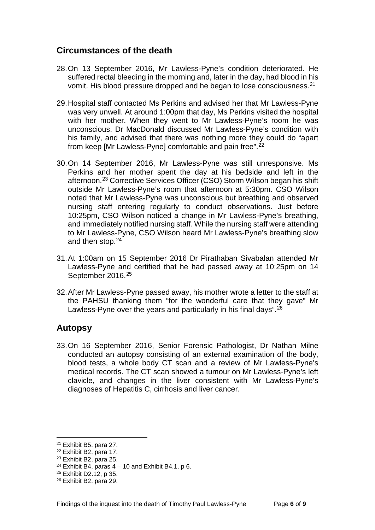### <span id="page-7-0"></span>**Circumstances of the death**

- 28.On 13 September 2016, Mr Lawless-Pyne's condition deteriorated. He suffered rectal bleeding in the morning and, later in the day, had blood in his vomit. His blood pressure dropped and he began to lose consciousness.[21](#page-7-2)
- 29.Hospital staff contacted Ms Perkins and advised her that Mr Lawless-Pyne was very unwell. At around 1:00pm that day, Ms Perkins visited the hospital with her mother. When they went to Mr Lawless-Pyne's room he was unconscious. Dr MacDonald discussed Mr Lawless-Pyne's condition with his family, and advised that there was nothing more they could do "apart from keep [Mr Lawless-Pyne] comfortable and pain free".<sup>[22](#page-7-3)</sup>
- 30.On 14 September 2016, Mr Lawless-Pyne was still unresponsive. Ms Perkins and her mother spent the day at his bedside and left in the afternoon.[23](#page-7-4) Corrective Services Officer (CSO) Storm Wilson began his shift outside Mr Lawless-Pyne's room that afternoon at 5:30pm. CSO Wilson noted that Mr Lawless-Pyne was unconscious but breathing and observed nursing staff entering regularly to conduct observations. Just before 10:25pm, CSO Wilson noticed a change in Mr Lawless-Pyne's breathing, and immediately notified nursing staff. While the nursing staff were attending to Mr Lawless-Pyne, CSO Wilson heard Mr Lawless-Pyne's breathing slow and then stop[.24](#page-7-5)
- 31.At 1:00am on 15 September 2016 Dr Pirathaban Sivabalan attended Mr Lawless-Pyne and certified that he had passed away at 10:25pm on 14 September 2016.[25](#page-7-6)
- 32.After Mr Lawless-Pyne passed away, his mother wrote a letter to the staff at the PAHSU thanking them "for the wonderful care that they gave" Mr Lawless-Pyne over the years and particularly in his final days".<sup>[26](#page-7-7)</sup>

#### <span id="page-7-1"></span>**Autopsy**

33.On 16 September 2016, Senior Forensic Pathologist, Dr Nathan Milne conducted an autopsy consisting of an external examination of the body, blood tests, a whole body CT scan and a review of Mr Lawless-Pyne's medical records. The CT scan showed a tumour on Mr Lawless-Pyne's left clavicle, and changes in the liver consistent with Mr Lawless-Pyne's diagnoses of Hepatitis C, cirrhosis and liver cancer.

<span id="page-7-2"></span><sup>21</sup> Exhibit B5, para 27.

<span id="page-7-3"></span><sup>22</sup> Exhibit B2, para 17.

<span id="page-7-4"></span><sup>23</sup> Exhibit B2, para 25.

<span id="page-7-5"></span><sup>&</sup>lt;sup>24</sup> Exhibit B4, paras  $4 - 10$  and Exhibit B4.1, p 6.

<sup>25</sup> Exhibit D2.12, p 35.

<span id="page-7-7"></span><span id="page-7-6"></span><sup>26</sup> Exhibit B2, para 29.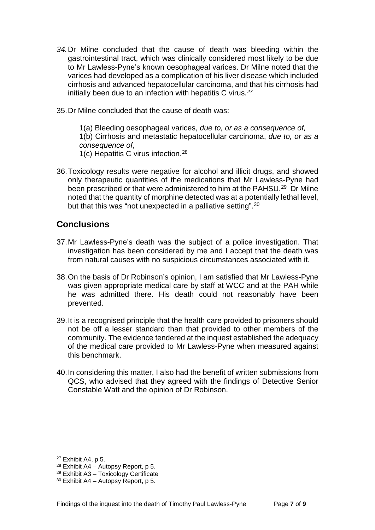- *34.*Dr Milne concluded that the cause of death was bleeding within the gastrointestinal tract, which was clinically considered most likely to be due to Mr Lawless-Pyne's known oesophageal varices. Dr Milne noted that the varices had developed as a complication of his liver disease which included cirrhosis and advanced hepatocellular carcinoma, and that his cirrhosis had initially been due to an infection with hepatitis C virus*.[27](#page-8-1)*
- 35.Dr Milne concluded that the cause of death was:

1(a) Bleeding oesophageal varices, *due to, or as a consequence of,* 1(b) Cirrhosis and metastatic hepatocellular carcinoma, *due to, or as a consequence of*, 1(c) Hepatitis C virus infection.[28](#page-8-2)

36.Toxicology results were negative for alcohol and illicit drugs, and showed only therapeutic quantities of the medications that Mr Lawless-Pyne had been prescribed or that were administered to him at the PAHSU.<sup>29</sup> Dr Milne noted that the quantity of morphine detected was at a potentially lethal level, but that this was "not unexpected in a palliative setting".<sup>[30](#page-8-4)</sup>

#### <span id="page-8-0"></span>**Conclusions**

- 37.Mr Lawless-Pyne's death was the subject of a police investigation. That investigation has been considered by me and I accept that the death was from natural causes with no suspicious circumstances associated with it.
- 38.On the basis of Dr Robinson's opinion, I am satisfied that Mr Lawless-Pyne was given appropriate medical care by staff at WCC and at the PAH while he was admitted there. His death could not reasonably have been prevented.
- 39.It is a recognised principle that the health care provided to prisoners should not be off a lesser standard than that provided to other members of the community. The evidence tendered at the inquest established the adequacy of the medical care provided to Mr Lawless-Pyne when measured against this benchmark.
- 40.In considering this matter, I also had the benefit of written submissions from QCS, who advised that they agreed with the findings of Detective Senior Constable Watt and the opinion of Dr Robinson.

<span id="page-8-1"></span><sup>27</sup> Exhibit A4, p 5.

<span id="page-8-2"></span> $28$  Exhibit A4 – Autopsy Report, p 5.

<span id="page-8-3"></span><sup>29</sup> Exhibit A3 – Toxicology Certificate

<span id="page-8-4"></span> $30$  Exhibit A4 – Autopsy Report, p 5.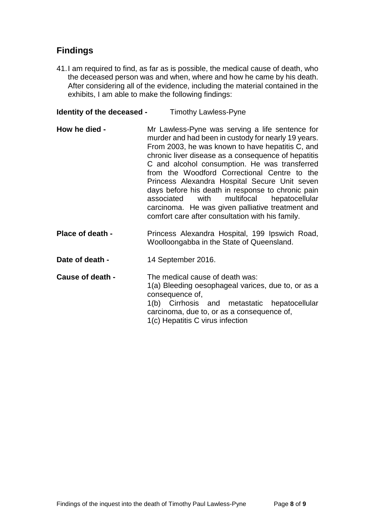## <span id="page-9-0"></span>**Findings**

41.I am required to find, as far as is possible, the medical cause of death, who the deceased person was and when, where and how he came by his death. After considering all of the evidence, including the material contained in the exhibits, I am able to make the following findings:

#### <span id="page-9-1"></span>**Identity of the deceased - Timothy Lawless-Pyne**

- <span id="page-9-2"></span>**How he died -** Mr Lawless-Pyne was serving a life sentence for murder and had been in custody for nearly 19 years. From 2003, he was known to have hepatitis C, and chronic liver disease as a consequence of hepatitis C and alcohol consumption. He was transferred from the Woodford Correctional Centre to the Princess Alexandra Hospital Secure Unit seven days before his death in response to chronic pain associated with multifocal hepatocellular carcinoma. He was given palliative treatment and comfort care after consultation with his family.
- <span id="page-9-3"></span>**Place of death -** Princess Alexandra Hospital, 199 Ipswich Road, Woolloongabba in the State of Queensland.
- <span id="page-9-4"></span>**Date of death -** 14 September 2016.

<span id="page-9-6"></span><span id="page-9-5"></span>**Cause of death -** The medical cause of death was: 1(a) Bleeding oesophageal varices, due to, or as a consequence of, 1(b) Cirrhosis and metastatic hepatocellular carcinoma, due to, or as a consequence of, 1(c) Hepatitis C virus infection